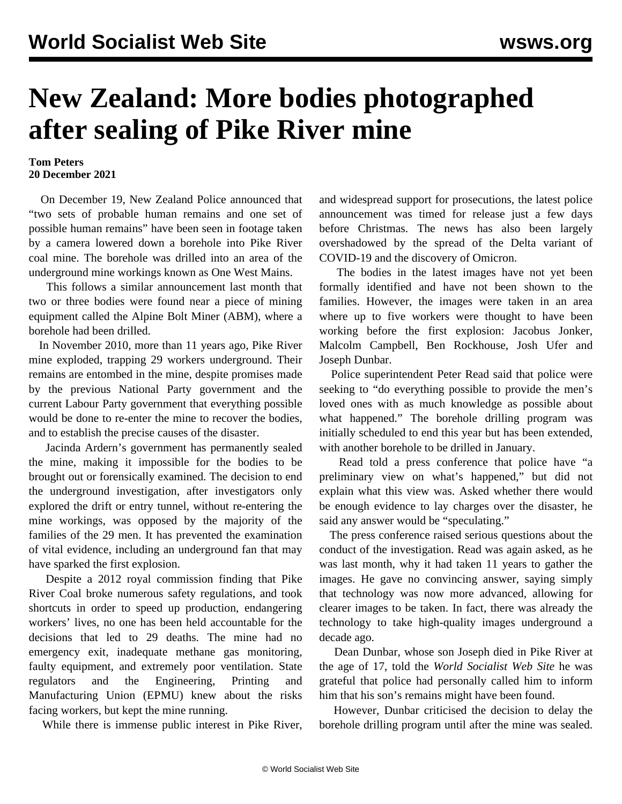## **New Zealand: More bodies photographed after sealing of Pike River mine**

## **Tom Peters 20 December 2021**

 On December 19, New Zealand Police announced that "two sets of probable human remains and one set of possible human remains" have been seen in footage taken by a camera lowered down a borehole into Pike River coal mine. The borehole was drilled into an area of the underground mine workings known as One West Mains.

 This follows a similar [announcement](/en/articles/2021/11/22/pike-n22.html) last month that two or three bodies were found near a piece of mining equipment called the Alpine Bolt Miner (ABM), where a borehole had been drilled.

 In November 2010, more than 11 years ago, Pike River mine exploded, trapping 29 workers underground. Their remains are entombed in the mine, despite promises made by the previous National Party government and the current Labour Party government that everything possible would be done to re-enter the mine to recover the bodies, and to establish the precise causes of the disaster.

 Jacinda Ardern's government has permanently [sealed](/en/articles/2021/09/30/pike-s30.html) the mine, making it impossible for the bodies to be brought out or forensically examined. The decision to end the underground investigation, after investigators only explored the drift or entry tunnel, without re-entering the mine workings, was opposed by the majority of the families of the 29 men. It has prevented the examination of vital evidence, including an underground fan that may have sparked the first explosion.

 Despite a 2012 royal commission finding that Pike River Coal broke numerous safety regulations, and took shortcuts in order to speed up production, endangering workers' lives, no one has been held accountable for the decisions that led to 29 deaths. The mine had no emergency exit, inadequate methane gas monitoring, faulty equipment, and extremely poor ventilation. State regulators and the Engineering, Printing and Manufacturing Union (EPMU) knew about the risks facing workers, but kept the mine running.

While there is immense public interest in Pike River,

and widespread support for prosecutions, the latest police announcement was timed for release just a few days before Christmas. The news has also been largely overshadowed by the spread of the Delta variant of COVID-19 and the discovery of Omicron.

 The bodies in the latest images have not yet been formally identified and have not been shown to the families. However, the images were taken in an area where up to five workers were thought to have been working before the first explosion: Jacobus Jonker, Malcolm Campbell, Ben Rockhouse, Josh Ufer and Joseph Dunbar.

 Police superintendent Peter Read said that police were seeking to "do everything possible to provide the men's loved ones with as much knowledge as possible about what happened." The borehole drilling program was initially scheduled to end this year but has been extended, with another borehole to be drilled in January.

 Read told a press conference that police have "a preliminary view on what's happened," but did not explain what this view was. Asked whether there would be enough evidence to lay charges over the disaster, he said any answer would be "speculating."

 The press conference raised serious questions about the conduct of the investigation. Read was again asked, as he was last month, why it had taken 11 years to gather the images. He gave no convincing answer, saying simply that technology was now more advanced, allowing for clearer images to be taken. In fact, there was already the technology to take high-quality images underground a decade ago.

 Dean Dunbar, whose son Joseph died in Pike River at the age of 17, told the *World Socialist Web Site* he was grateful that police had personally called him to inform him that his son's remains might have been found.

 However, Dunbar criticised the decision to delay the borehole drilling program until after the mine was sealed.